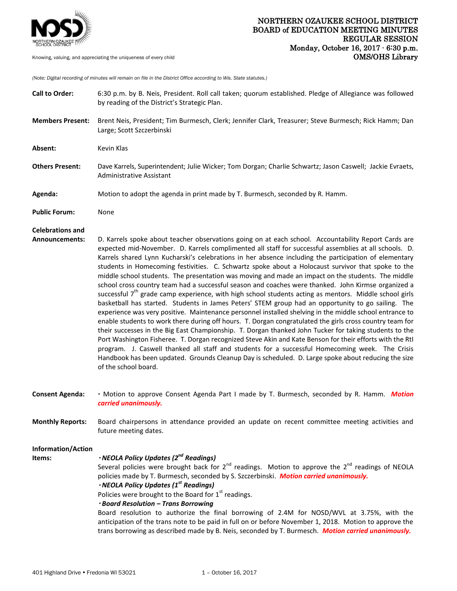

*(Note: Digital recording of minutes will remain on file in the District Office according to Wis. State statutes.)*

| <b>Call to Order:</b>                            | 6:30 p.m. by B. Neis, President. Roll call taken; quorum established. Pledge of Allegiance was followed<br>by reading of the District's Strategic Plan.                                                                                                                                                                                                                                                                                                                                                                                                                                                                                                                                                                                                                                                                                                                                                                                                                                                                                                                                                                                                                                                                                                                                                                                                                                                                            |
|--------------------------------------------------|------------------------------------------------------------------------------------------------------------------------------------------------------------------------------------------------------------------------------------------------------------------------------------------------------------------------------------------------------------------------------------------------------------------------------------------------------------------------------------------------------------------------------------------------------------------------------------------------------------------------------------------------------------------------------------------------------------------------------------------------------------------------------------------------------------------------------------------------------------------------------------------------------------------------------------------------------------------------------------------------------------------------------------------------------------------------------------------------------------------------------------------------------------------------------------------------------------------------------------------------------------------------------------------------------------------------------------------------------------------------------------------------------------------------------------|
| <b>Members Present:</b>                          | Brent Neis, President; Tim Burmesch, Clerk; Jennifer Clark, Treasurer; Steve Burmesch; Rick Hamm; Dan<br>Large; Scott Szczerbinski                                                                                                                                                                                                                                                                                                                                                                                                                                                                                                                                                                                                                                                                                                                                                                                                                                                                                                                                                                                                                                                                                                                                                                                                                                                                                                 |
| Absent:                                          | Kevin Klas                                                                                                                                                                                                                                                                                                                                                                                                                                                                                                                                                                                                                                                                                                                                                                                                                                                                                                                                                                                                                                                                                                                                                                                                                                                                                                                                                                                                                         |
| <b>Others Present:</b>                           | Dave Karrels, Superintendent; Julie Wicker; Tom Dorgan; Charlie Schwartz; Jason Caswell; Jackie Evraets,<br>Administrative Assistant                                                                                                                                                                                                                                                                                                                                                                                                                                                                                                                                                                                                                                                                                                                                                                                                                                                                                                                                                                                                                                                                                                                                                                                                                                                                                               |
| Agenda:                                          | Motion to adopt the agenda in print made by T. Burmesch, seconded by R. Hamm.                                                                                                                                                                                                                                                                                                                                                                                                                                                                                                                                                                                                                                                                                                                                                                                                                                                                                                                                                                                                                                                                                                                                                                                                                                                                                                                                                      |
| <b>Public Forum:</b>                             | None                                                                                                                                                                                                                                                                                                                                                                                                                                                                                                                                                                                                                                                                                                                                                                                                                                                                                                                                                                                                                                                                                                                                                                                                                                                                                                                                                                                                                               |
| <b>Celebrations and</b><br><b>Announcements:</b> | D. Karrels spoke about teacher observations going on at each school. Accountability Report Cards are                                                                                                                                                                                                                                                                                                                                                                                                                                                                                                                                                                                                                                                                                                                                                                                                                                                                                                                                                                                                                                                                                                                                                                                                                                                                                                                               |
|                                                  | expected mid-November. D. Karrels complimented all staff for successful assemblies at all schools. D.<br>Karrels shared Lynn Kucharski's celebrations in her absence including the participation of elementary<br>students in Homecoming festivities. C. Schwartz spoke about a Holocaust survivor that spoke to the<br>middle school students. The presentation was moving and made an impact on the students. The middle<br>school cross country team had a successful season and coaches were thanked. John Kirmse organized a<br>successful $7th$ grade camp experience, with high school students acting as mentors. Middle school girls<br>basketball has started. Students in James Peters' STEM group had an opportunity to go sailing. The<br>experience was very positive. Maintenance personnel installed shelving in the middle school entrance to<br>enable students to work there during off hours. T. Dorgan congratulated the girls cross country team for<br>their successes in the Big East Championship. T. Dorgan thanked John Tucker for taking students to the<br>Port Washington Fisheree. T. Dorgan recognized Steve Akin and Kate Benson for their efforts with the Rtl<br>program. J. Caswell thanked all staff and students for a successful Homecoming week. The Crisis<br>Handbook has been updated. Grounds Cleanup Day is scheduled. D. Large spoke about reducing the size<br>of the school board. |
| <b>Consent Agenda:</b>                           | . Motion to approve Consent Agenda Part I made by T. Burmesch, seconded by R. Hamm. Motion<br>carried unanimously.                                                                                                                                                                                                                                                                                                                                                                                                                                                                                                                                                                                                                                                                                                                                                                                                                                                                                                                                                                                                                                                                                                                                                                                                                                                                                                                 |
| <b>Monthly Reports:</b>                          | Board chairpersons in attendance provided an update on recent committee meeting activities and<br>future meeting dates.                                                                                                                                                                                                                                                                                                                                                                                                                                                                                                                                                                                                                                                                                                                                                                                                                                                                                                                                                                                                                                                                                                                                                                                                                                                                                                            |
| Information/Action<br>Items:                     | · NEOLA Policy Updates (2 <sup>nd</sup> Readings)<br>Several policies were brought back for $2^{nd}$ readings. Motion to approve the $2^{nd}$ readings of NEOLA<br>policies made by T. Burmesch, seconded by S. Szczerbinski. Motion carried unanimously.<br>$\cdot$ NEOLA Policy Updates (1 <sup>st</sup> Readings)<br>Policies were brought to the Board for 1st readings.<br>· Board Resolution - Trans Borrowing<br>Board resolution to authorize the final borrowing of 2.4M for NOSD/WVL at 3.75%, with the<br>anticipation of the trans note to be paid in full on or before November 1, 2018. Motion to approve the<br>trans borrowing as described made by B. Neis, seconded by T. Burmesch. Motion carried unanimously.                                                                                                                                                                                                                                                                                                                                                                                                                                                                                                                                                                                                                                                                                                  |